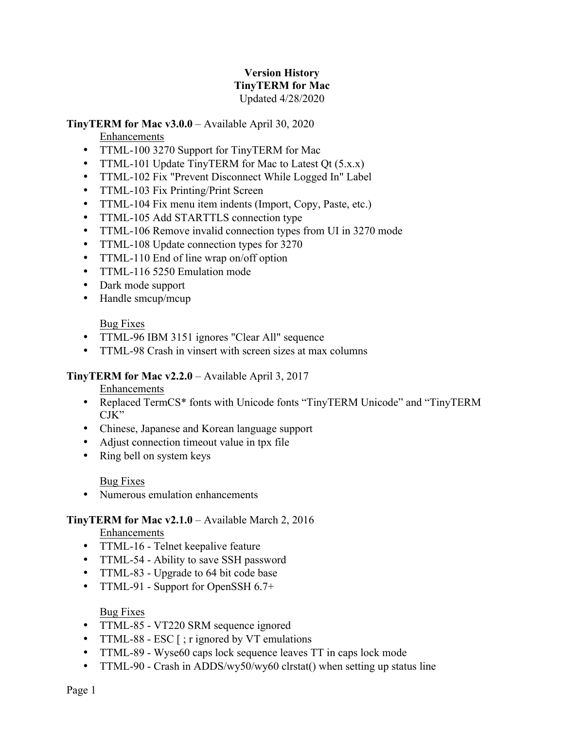## **Version History TinyTERM for Mac** Updated 4/28/2020

#### **TinyTERM for Mac v3.0.0** – Available April 30, 2020

Enhancements

- TTML-100 3270 Support for TinyTERM for Mac
- TTML-101 Update TinyTERM for Mac to Latest Qt (5.x.x)
- TTML-102 Fix "Prevent Disconnect While Logged In" Label
- TTML-103 Fix Printing/Print Screen
- TTML-104 Fix menu item indents (Import, Copy, Paste, etc.)
- TTML-105 Add STARTTLS connection type
- TTML-106 Remove invalid connection types from UI in 3270 mode
- TTML-108 Update connection types for 3270
- TTML-110 End of line wrap on/off option
- TTML-116 5250 Emulation mode
- Dark mode support
- Handle smcup/mcup

Bug Fixes

- TTML-96 IBM 3151 ignores "Clear All" sequence
- TTML-98 Crash in vinsert with screen sizes at max columns

# **TinyTERM for Mac v2.2.0** – Available April 3, 2017

Enhancements

- Replaced TermCS\* fonts with Unicode fonts "TinyTERM Unicode" and "TinyTERM CJK"
- Chinese, Japanese and Korean language support
- Adjust connection timeout value in tpx file
- Ring bell on system keys

Bug Fixes

• Numerous emulation enhancements

# **TinyTERM for Mac v2.1.0** – Available March 2, 2016

Enhancements

- TTML-16 Telnet keepalive feature
- TTML-54 Ability to save SSH password
- TTML-83 Upgrade to 64 bit code base
- TTML-91 Support for OpenSSH 6.7+

# Bug Fixes

- TTML-85 VT220 SRM sequence ignored
- TTML-88 ESC [; r ignored by VT emulations
- TTML-89 Wyse60 caps lock sequence leaves TT in caps lock mode
- TTML-90 Crash in ADDS/wy50/wy60 clrstat() when setting up status line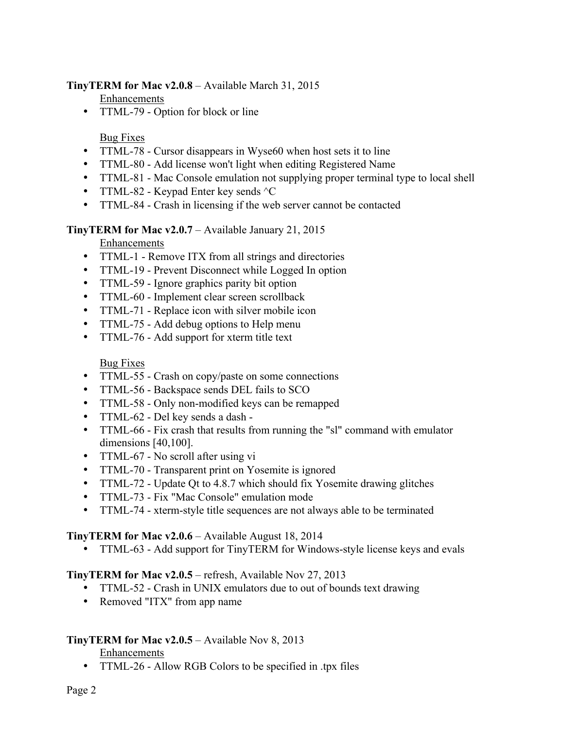## **TinyTERM for Mac v2.0.8** – Available March 31, 2015

Enhancements

• TTML-79 - Option for block or line

Bug Fixes

- TTML-78 Cursor disappears in Wyse60 when host sets it to line
- TTML-80 Add license won't light when editing Registered Name
- TTML-81 Mac Console emulation not supplying proper terminal type to local shell
- TTML-82 Keypad Enter key sends  $\textdegree$ C
- TTML-84 Crash in licensing if the web server cannot be contacted

#### **TinyTERM for Mac v2.0.7** – Available January 21, 2015

Enhancements

- TTML-1 Remove ITX from all strings and directories
- TTML-19 Prevent Disconnect while Logged In option
- TTML-59 Ignore graphics parity bit option
- TTML-60 Implement clear screen scrollback
- TTML-71 Replace icon with silver mobile icon
- TTML-75 Add debug options to Help menu
- TTML-76 Add support for xterm title text

Bug Fixes

- TTML-55 Crash on copy/paste on some connections
- TTML-56 Backspace sends DEL fails to SCO
- TTML-58 Only non-modified keys can be remapped
- TTML-62 Del key sends a dash -
- TTML-66 Fix crash that results from running the "sl" command with emulator dimensions [40,100].
- TTML-67 No scroll after using vi
- TTML-70 Transparent print on Yosemite is ignored
- TTML-72 Update Qt to 4.8.7 which should fix Yosemite drawing glitches
- TTML-73 Fix "Mac Console" emulation mode
- TTML-74 xterm-style title sequences are not always able to be terminated

#### **TinyTERM for Mac v2.0.6** – Available August 18, 2014

• TTML-63 - Add support for TinyTERM for Windows-style license keys and evals

#### **TinyTERM for Mac v2.0.5** – refresh, Available Nov 27, 2013

- TTML-52 Crash in UNIX emulators due to out of bounds text drawing
- Removed "ITX" from app name

# **TinyTERM for Mac v2.0.5** – Available Nov 8, 2013

#### Enhancements

• TTML-26 - Allow RGB Colors to be specified in .tpx files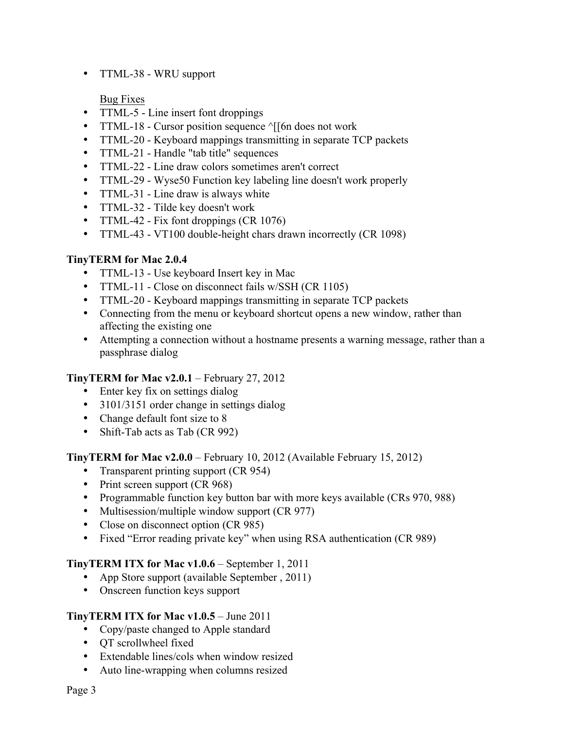• TTML-38 - WRU support

Bug Fixes

- TTML-5 Line insert font droppings
- TTML-18 Cursor position sequence  $\sqrt{5}$ [6n does not work
- TTML-20 Keyboard mappings transmitting in separate TCP packets
- TTML-21 Handle "tab title" sequences
- TTML-22 Line draw colors sometimes aren't correct
- TTML-29 Wyse50 Function key labeling line doesn't work properly
- TTML-31 Line draw is always white
- TTML-32 Tilde key doesn't work
- TTML-42 Fix font droppings (CR 1076)
- TTML-43 VT100 double-height chars drawn incorrectly (CR 1098)

# **TinyTERM for Mac 2.0.4**

- TTML-13 Use keyboard Insert key in Mac
- TTML-11 Close on disconnect fails w/SSH (CR 1105)
- TTML-20 Keyboard mappings transmitting in separate TCP packets
- Connecting from the menu or keyboard shortcut opens a new window, rather than affecting the existing one
- Attempting a connection without a hostname presents a warning message, rather than a passphrase dialog

# **TinyTERM for Mac v2.0.1** – February 27, 2012

- Enter key fix on settings dialog
- 3101/3151 order change in settings dialog
- Change default font size to 8
- Shift-Tab acts as Tab (CR 992)

# **TinyTERM for Mac v2.0.0** – February 10, 2012 (Available February 15, 2012)

- Transparent printing support (CR 954)
- Print screen support (CR 968)
- Programmable function key button bar with more keys available (CRs 970, 988)
- Multisession/multiple window support (CR 977)
- Close on disconnect option (CR 985)
- Fixed "Error reading private key" when using RSA authentication (CR 989)

# **TinyTERM ITX for Mac v1.0.6** – September 1, 2011

- App Store support (available September, 2011)
- Onscreen function keys support

# **TinyTERM ITX for Mac v1.0.5** – June 2011

- Copy/paste changed to Apple standard
- QT scrollwheel fixed
- Extendable lines/cols when window resized
- Auto line-wrapping when columns resized